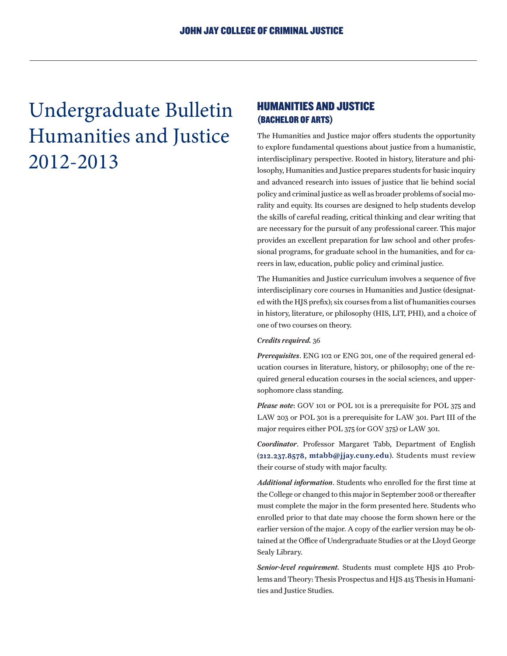Undergraduate Bulletin Humanities and Justice 2012-2013

# HUMANITIES AND JUSTICE (BACHELOR OF ARTS)

The Humanities and Justice major offers students the opportunity to explore fundamental questions about justice from a humanistic, interdisciplinary perspective. Rooted in history, literature and philosophy, Humanities and Justice prepares students for basic inquiry and advanced research into issues of justice that lie behind social policy and criminal justice as well as broader problems of social morality and equity. Its courses are designed to help students develop the skills of careful reading, critical thinking and clear writing that are necessary for the pursuit of any professional career. This major provides an excellent preparation for law school and other professional programs, for graduate school in the humanities, and for careers in law, education, public policy and criminal justice.

The Humanities and Justice curriculum involves a sequence of five interdisciplinary core courses in Humanities and Justice (designated with the HJS prefix); six courses from a list of humanities courses in history, literature, or philosophy (HIS, LIT, PHI), and a choice of one of two courses on theory.

### *Credits required.* 36

*Prerequisites*. ENG 102 or ENG 201, one of the required general education courses in literature, history, or philosophy; one of the required general education courses in the social sciences, and uppersophomore class standing.

*Please note*: GOV 101 or POL 101 is a prerequisite for POL 375 and LAW 203 or POL 301 is a prerequisite for LAW 301. Part III of the major requires either POL 375 (or GOV 375) or LAW 301.

*Coordinator*. Professor Margaret Tabb, Department of English (212.237.8578, mtabb@jjay.cuny.edu). Students must review their course of study with major faculty.

*Additional information*. Students who enrolled for the first time at the College or changed to this major in September 2008 or thereafter must complete the major in the form presented here. Students who enrolled prior to that date may choose the form shown here or the earlier version of the major. A copy of the earlier version may be obtained at the Office of Undergraduate Studies or at the Lloyd George Sealy Library.

*Senior-level requirement.* Students must complete HJS 410 Problems and Theory: Thesis Prospectus and HJS 415 Thesis in Humanities and Justice Studies.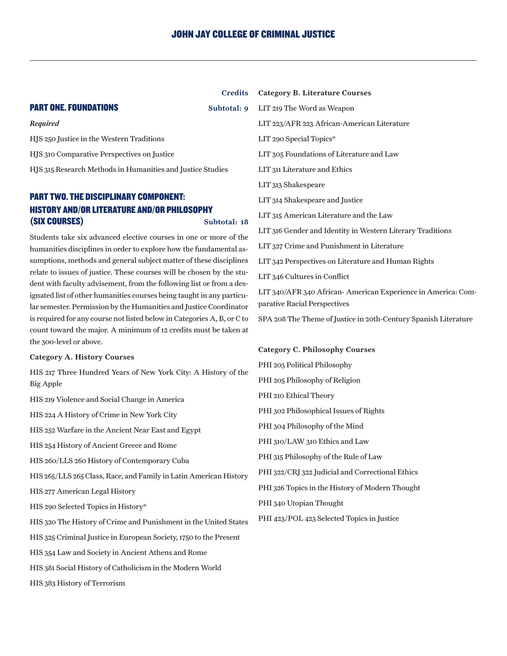Credits

## **PART ONE. FOUNDATIONS** Subtotal: 9

#### *Required*

HJS 250 Justice in the Western Traditions HJS 310 Comparative Perspectives on Justice HJS 315 Research Methods in Humanities and Justice Studies

# PART TWO. THE DISCIPLINARY COMPONENT: HISTORY AND/OR LITERATURE AND/OR PHILOSOPHY (SIX COURSES) Subtotal: 18

Students take six advanced elective courses in one or more of the humanities disciplines in order to explore how the fundamental assumptions, methods and general subject matter of these disciplines relate to issues of justice. These courses will be chosen by the student with faculty advisement, from the following list or from a designated list of other humanities courses being taught in any particular semester. Permission by the Humanities and Justice Coordinator is required for any course not listed below in Categories A, B, or C to count toward the major. A minimum of 12 credits must be taken at the 300-level or above.

#### Category A. History Courses

HIS 217 Three Hundred Years of New York City: A History of the Big Apple

HIS 219 Violence and Social Change in America

HIS 224 A History of Crime in New York City

HIS 252 Warfare in the Ancient Near East and Egypt

HIS 254 History of Ancient Greece and Rome

HIS 260/LLS 260 History of Contemporary Cuba

HIS 265/LLS 265 Class, Race, and Family in Latin American History

HIS 277 American Legal History

HIS 290 Selected Topics in History\*

HIS 320 The History of Crime and Punishment in the United States

HIS 325 Criminal Justice in European Society, 1750 to the Present

HIS 354 Law and Society in Ancient Athens and Rome

HIS 381 Social History of Catholicism in the Modern World

HIS 383 History of Terrorism

Category B. Literature Courses LIT 219 The Word as Weapon LIT 223/AFR 223 African-American Literature LIT 290 Special Topics\* LIT 305 Foundations of Literature and Law LIT 311 Literature and Ethics LIT 313 Shakespeare LIT 314 Shakespeare and Justice LIT 315 American Literature and the Law LIT 316 Gender and Identity in Western Literary Traditions LIT 327 Crime and Punishment in Literature LIT 342 Perspectives on Literature and Human Rights LIT 346 Cultures in Conflict LIT 340/AFR 340 African- American Experience in America: Comparative Racial Perspectives SPA 208 The Theme of Justice in 20th-Century Spanish Literature

#### Category C. Philosophy Courses

PHI 203 Political Philosophy PHI 205 Philosophy of Religion PHI 210 Ethical Theory PHI 302 Philosophical Issues of Rights PHI 304 Philosophy of the Mind PHI 310/LAW 310 Ethics and Law PHI 315 Philosophy of the Rule of Law PHI 322/CRJ 322 Judicial and Correctional Ethics PHI 326 Topics in the History of Modern Thought PHI 340 Utopian Thought PHI 423/POL 423 Selected Topics in Justice